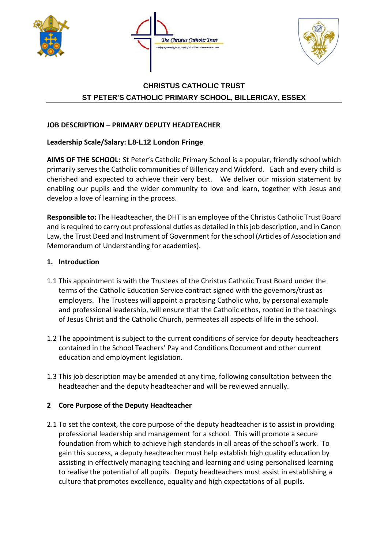





# **CHRISTUS CATHOLIC TRUST ST PETER'S CATHOLIC PRIMARY SCHOOL, BILLERICAY, ESSEX**

# **JOB DESCRIPTION – PRIMARY DEPUTY HEADTEACHER**

# **Leadership Scale/Salary: L8-L12 London Fringe**

**AIMS OF THE SCHOOL:** St Peter's Catholic Primary School is a popular, friendly school which primarily serves the Catholic communities of Billericay and Wickford. Each and every child is cherished and expected to achieve their very best. We deliver our mission statement by enabling our pupils and the wider community to love and learn, together with Jesus and develop a love of learning in the process.

**Responsible to:** The Headteacher, the DHT is an employee of the Christus Catholic Trust Board and is required to carry out professional duties as detailed in this job description, and in Canon Law, the Trust Deed and Instrument of Government for the school (Articles of Association and Memorandum of Understanding for academies).

## **1. Introduction**

- 1.1 This appointment is with the Trustees of the Christus Catholic Trust Board under the terms of the Catholic Education Service contract signed with the governors/trust as employers. The Trustees will appoint a practising Catholic who, by personal example and professional leadership, will ensure that the Catholic ethos, rooted in the teachings of Jesus Christ and the Catholic Church, permeates all aspects of life in the school.
- 1.2 The appointment is subject to the current conditions of service for deputy headteachers contained in the School Teachers' Pay and Conditions Document and other current education and employment legislation.
- 1.3 This job description may be amended at any time, following consultation between the headteacher and the deputy headteacher and will be reviewed annually.

## **2 Core Purpose of the Deputy Headteacher**

2.1 To set the context, the core purpose of the deputy headteacher is to assist in providing professional leadership and management for a school. This will promote a secure foundation from which to achieve high standards in all areas of the school's work. To gain this success, a deputy headteacher must help establish high quality education by assisting in effectively managing teaching and learning and using personalised learning to realise the potential of all pupils. Deputy headteachers must assist in establishing a culture that promotes excellence, equality and high expectations of all pupils.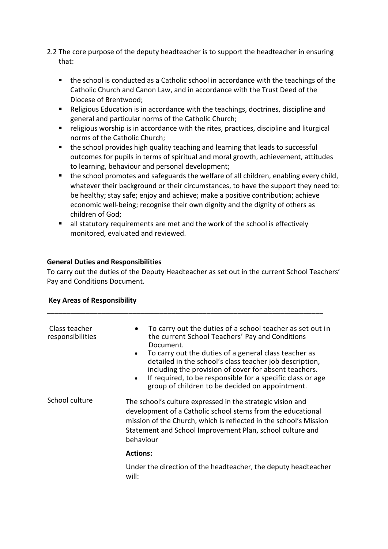- 2.2 The core purpose of the deputy headteacher is to support the headteacher in ensuring that:
	- the school is conducted as a Catholic school in accordance with the teachings of the Catholic Church and Canon Law, and in accordance with the Trust Deed of the Diocese of Brentwood;
	- Religious Education is in accordance with the teachings, doctrines, discipline and general and particular norms of the Catholic Church;
	- religious worship is in accordance with the rites, practices, discipline and liturgical norms of the Catholic Church;
	- the school provides high quality teaching and learning that leads to successful outcomes for pupils in terms of spiritual and moral growth, achievement, attitudes to learning, behaviour and personal development;
	- the school promotes and safeguards the welfare of all children, enabling every child, whatever their background or their circumstances, to have the support they need to: be healthy; stay safe; enjoy and achieve; make a positive contribution; achieve economic well-being; recognise their own dignity and the dignity of others as children of God;
	- all statutory requirements are met and the work of the school is effectively monitored, evaluated and reviewed.

## **General Duties and Responsibilities**

To carry out the duties of the Deputy Headteacher as set out in the current School Teachers' Pay and Conditions Document.

\_\_\_\_\_\_\_\_\_\_\_\_\_\_\_\_\_\_\_\_\_\_\_\_\_\_\_\_\_\_\_\_\_\_\_\_\_\_\_\_\_\_\_\_\_\_\_\_\_\_\_\_\_\_\_\_\_\_\_\_\_\_\_\_\_\_\_\_\_\_\_

#### **Key Areas of Responsibility**

| Class teacher<br>responsibilities | To carry out the duties of a school teacher as set out in<br>$\bullet$<br>the current School Teachers' Pay and Conditions<br>Document.<br>To carry out the duties of a general class teacher as<br>$\bullet$<br>detailed in the school's class teacher job description,<br>including the provision of cover for absent teachers.<br>If required, to be responsible for a specific class or age<br>$\bullet$<br>group of children to be decided on appointment. |
|-----------------------------------|----------------------------------------------------------------------------------------------------------------------------------------------------------------------------------------------------------------------------------------------------------------------------------------------------------------------------------------------------------------------------------------------------------------------------------------------------------------|
| School culture                    | The school's culture expressed in the strategic vision and<br>development of a Catholic school stems from the educational<br>mission of the Church, which is reflected in the school's Mission<br>Statement and School Improvement Plan, school culture and<br>behaviour                                                                                                                                                                                       |
|                                   | <b>Actions:</b>                                                                                                                                                                                                                                                                                                                                                                                                                                                |
|                                   | Under the direction of the headteacher, the deputy headteacher<br>will:                                                                                                                                                                                                                                                                                                                                                                                        |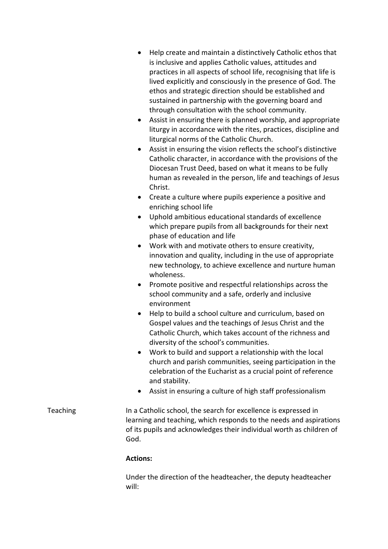- Help create and maintain a distinctively Catholic ethos that is inclusive and applies Catholic values, attitudes and practices in all aspects of school life, recognising that life is lived explicitly and consciously in the presence of God. The ethos and strategic direction should be established and sustained in partnership with the governing board and through consultation with the school community.
- Assist in ensuring there is planned worship, and appropriate liturgy in accordance with the rites, practices, discipline and liturgical norms of the Catholic Church.
- Assist in ensuring the vision reflects the school's distinctive Catholic character, in accordance with the provisions of the Diocesan Trust Deed, based on what it means to be fully human as revealed in the person, life and teachings of Jesus Christ.
- Create a culture where pupils experience a positive and enriching school life
- Uphold ambitious educational standards of excellence which prepare pupils from all backgrounds for their next phase of education and life
- Work with and motivate others to ensure creativity, innovation and quality, including in the use of appropriate new technology, to achieve excellence and nurture human wholeness.
- Promote positive and respectful relationships across the school community and a safe, orderly and inclusive environment
- Help to build a school culture and curriculum, based on Gospel values and the teachings of Jesus Christ and the Catholic Church, which takes account of the richness and diversity of the school's communities.
- Work to build and support a relationship with the local church and parish communities, seeing participation in the celebration of the Eucharist as a crucial point of reference and stability.
- Assist in ensuring a culture of high staff professionalism
- Teaching In a Catholic school, the search for excellence is expressed in learning and teaching, which responds to the needs and aspirations of its pupils and acknowledges their individual worth as children of God.

## **Actions:**

Under the direction of the headteacher, the deputy headteacher will: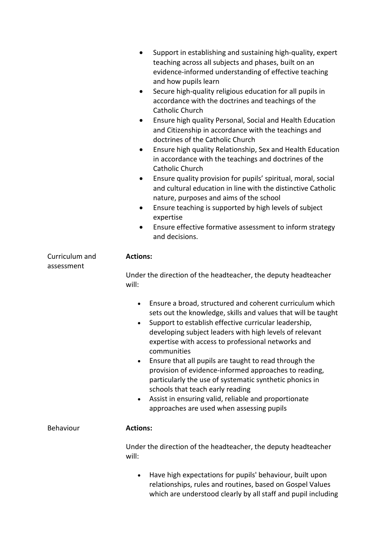|                              | Support in establishing and sustaining high-quality, expert<br>$\bullet$<br>teaching across all subjects and phases, built on an<br>evidence-informed understanding of effective teaching<br>and how pupils learn<br>Secure high-quality religious education for all pupils in<br>$\bullet$<br>accordance with the doctrines and teachings of the<br><b>Catholic Church</b><br>Ensure high quality Personal, Social and Health Education<br>$\bullet$<br>and Citizenship in accordance with the teachings and<br>doctrines of the Catholic Church<br>Ensure high quality Relationship, Sex and Health Education<br>in accordance with the teachings and doctrines of the<br>Catholic Church<br>Ensure quality provision for pupils' spiritual, moral, social<br>$\bullet$<br>and cultural education in line with the distinctive Catholic<br>nature, purposes and aims of the school<br>Ensure teaching is supported by high levels of subject<br>$\bullet$<br>expertise<br>Ensure effective formative assessment to inform strategy<br>and decisions. |
|------------------------------|--------------------------------------------------------------------------------------------------------------------------------------------------------------------------------------------------------------------------------------------------------------------------------------------------------------------------------------------------------------------------------------------------------------------------------------------------------------------------------------------------------------------------------------------------------------------------------------------------------------------------------------------------------------------------------------------------------------------------------------------------------------------------------------------------------------------------------------------------------------------------------------------------------------------------------------------------------------------------------------------------------------------------------------------------------|
| Curriculum and<br>assessment | <b>Actions:</b><br>Under the direction of the headteacher, the deputy headteacher<br>will:                                                                                                                                                                                                                                                                                                                                                                                                                                                                                                                                                                                                                                                                                                                                                                                                                                                                                                                                                             |
|                              | Ensure a broad, structured and coherent curriculum which<br>$\bullet$<br>sets out the knowledge, skills and values that will be taught<br>Support to establish effective curricular leadership,<br>developing subject leaders with high levels of relevant<br>expertise with access to professional networks and<br>communities<br>Ensure that all pupils are taught to read through the<br>provision of evidence-informed approaches to reading,<br>particularly the use of systematic synthetic phonics in<br>schools that teach early reading<br>Assist in ensuring valid, reliable and proportionate<br>approaches are used when assessing pupils                                                                                                                                                                                                                                                                                                                                                                                                  |
| Behaviour                    | <b>Actions:</b>                                                                                                                                                                                                                                                                                                                                                                                                                                                                                                                                                                                                                                                                                                                                                                                                                                                                                                                                                                                                                                        |
|                              | Under the direction of the headteacher, the deputy headteacher<br>will:                                                                                                                                                                                                                                                                                                                                                                                                                                                                                                                                                                                                                                                                                                                                                                                                                                                                                                                                                                                |
|                              | Have high expectations for pupils' behaviour, built upon<br>$\bullet$<br>relationships, rules and routines, based on Gospel Values<br>which are understood clearly by all staff and pupil including                                                                                                                                                                                                                                                                                                                                                                                                                                                                                                                                                                                                                                                                                                                                                                                                                                                    |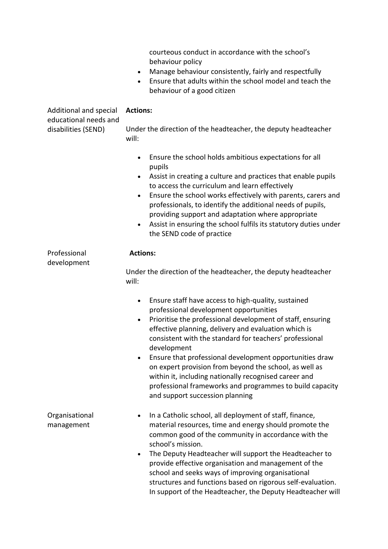courteous conduct in accordance with the school's behaviour policy

- Manage behaviour consistently, fairly and respectfully
- Ensure that adults within the school model and teach the behaviour of a good citizen

| Additional and special<br>educational needs and | <b>Actions:</b>                                                                                                                                                                                                                                                                                                                                                                                                                                                                                                                                                                                                   |  |
|-------------------------------------------------|-------------------------------------------------------------------------------------------------------------------------------------------------------------------------------------------------------------------------------------------------------------------------------------------------------------------------------------------------------------------------------------------------------------------------------------------------------------------------------------------------------------------------------------------------------------------------------------------------------------------|--|
| disabilities (SEND)                             | Under the direction of the headteacher, the deputy headteacher<br>will:                                                                                                                                                                                                                                                                                                                                                                                                                                                                                                                                           |  |
|                                                 | Ensure the school holds ambitious expectations for all<br>$\bullet$<br>pupils<br>Assist in creating a culture and practices that enable pupils<br>$\bullet$<br>to access the curriculum and learn effectively<br>Ensure the school works effectively with parents, carers and<br>$\bullet$<br>professionals, to identify the additional needs of pupils,<br>providing support and adaptation where appropriate<br>Assist in ensuring the school fulfils its statutory duties under<br>$\bullet$<br>the SEND code of practice                                                                                      |  |
| Professional<br>development                     | <b>Actions:</b><br>Under the direction of the headteacher, the deputy headteacher<br>will:                                                                                                                                                                                                                                                                                                                                                                                                                                                                                                                        |  |
|                                                 | Ensure staff have access to high-quality, sustained<br>$\bullet$<br>professional development opportunities<br>Prioritise the professional development of staff, ensuring<br>$\bullet$<br>effective planning, delivery and evaluation which is<br>consistent with the standard for teachers' professional<br>development<br>Ensure that professional development opportunities draw<br>$\bullet$<br>on expert provision from beyond the school, as well as<br>within it, including nationally recognised career and<br>professional frameworks and programmes to build capacity<br>and support succession planning |  |
| Organisational<br>management                    | In a Catholic school, all deployment of staff, finance,<br>material resources, time and energy should promote the<br>common good of the community in accordance with the<br>school's mission.<br>The Deputy Headteacher will support the Headteacher to<br>$\bullet$<br>provide effective organisation and management of the<br>school and seeks ways of improving organisational<br>structures and functions based on rigorous self-evaluation.<br>In support of the Headteacher, the Deputy Headteacher will                                                                                                    |  |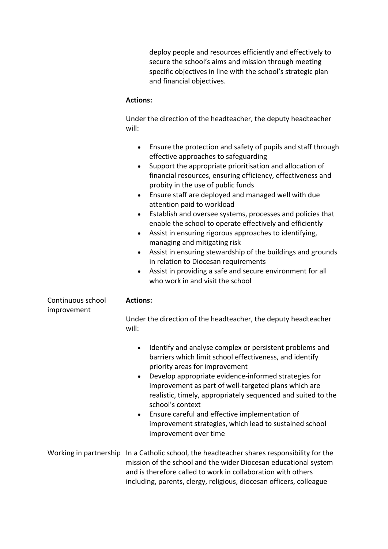deploy people and resources efficiently and effectively to secure the school's aims and mission through meeting specific objectives in line with the school's strategic plan and financial objectives.

#### **Actions:**

Under the direction of the headteacher, the deputy headteacher will:

|                                  | Ensure the protection and safety of pupils and staff through<br>$\bullet$<br>effective approaches to safeguarding<br>Support the appropriate prioritisation and allocation of<br>$\bullet$<br>financial resources, ensuring efficiency, effectiveness and<br>probity in the use of public funds<br>Ensure staff are deployed and managed well with due<br>$\bullet$<br>attention paid to workload<br>Establish and oversee systems, processes and policies that<br>$\bullet$<br>enable the school to operate effectively and efficiently<br>Assist in ensuring rigorous approaches to identifying,<br>$\bullet$<br>managing and mitigating risk<br>Assist in ensuring stewardship of the buildings and grounds<br>$\bullet$<br>in relation to Diocesan requirements<br>Assist in providing a safe and secure environment for all<br>$\bullet$<br>who work in and visit the school |
|----------------------------------|-----------------------------------------------------------------------------------------------------------------------------------------------------------------------------------------------------------------------------------------------------------------------------------------------------------------------------------------------------------------------------------------------------------------------------------------------------------------------------------------------------------------------------------------------------------------------------------------------------------------------------------------------------------------------------------------------------------------------------------------------------------------------------------------------------------------------------------------------------------------------------------|
| Continuous school<br>improvement | <b>Actions:</b><br>Under the direction of the headteacher, the deputy headteacher                                                                                                                                                                                                                                                                                                                                                                                                                                                                                                                                                                                                                                                                                                                                                                                                 |
|                                  | will:                                                                                                                                                                                                                                                                                                                                                                                                                                                                                                                                                                                                                                                                                                                                                                                                                                                                             |
|                                  | Identify and analyse complex or persistent problems and<br>$\bullet$<br>barriers which limit school effectiveness, and identify<br>priority areas for improvement<br>Develop appropriate evidence-informed strategies for<br>$\bullet$<br>improvement as part of well-targeted plans which are<br>realistic, timely, appropriately sequenced and suited to the<br>school's context<br>Ensure careful and effective implementation of<br>$\bullet$<br>improvement strategies, which lead to sustained school<br>improvement over time                                                                                                                                                                                                                                                                                                                                              |
|                                  | Working in partnership In a Catholic school, the headteacher shares responsibility for the<br>mission of the school and the wider Diocesan educational system                                                                                                                                                                                                                                                                                                                                                                                                                                                                                                                                                                                                                                                                                                                     |

and is therefore called to work in collaboration with others including, parents, clergy, religious, diocesan officers, colleague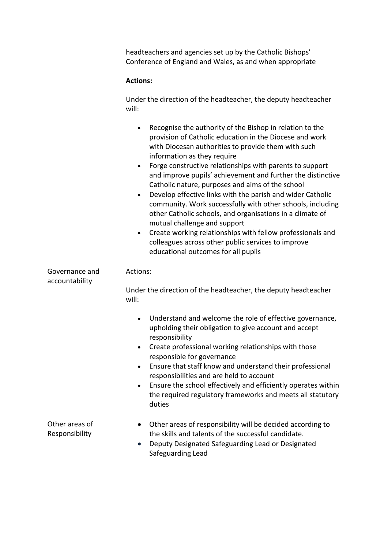headteachers and agencies set up by the Catholic Bishops' Conference of England and Wales, as and when appropriate

#### **Actions:**

Under the direction of the headteacher, the deputy headteacher will:

- Recognise the authority of the Bishop in relation to the provision of Catholic education in the Diocese and work with Diocesan authorities to provide them with such information as they require
- Forge constructive relationships with parents to support and improve pupils' achievement and further the distinctive Catholic nature, purposes and aims of the school
- Develop effective links with the parish and wider Catholic community. Work successfully with other schools, including other Catholic schools, and organisations in a climate of mutual challenge and support
- Create working relationships with fellow professionals and colleagues across other public services to improve educational outcomes for all pupils

| Governance and<br>accountability | Actions:                                                                                                                                                                                                              |  |  |
|----------------------------------|-----------------------------------------------------------------------------------------------------------------------------------------------------------------------------------------------------------------------|--|--|
|                                  | Under the direction of the headteacher, the deputy headteacher<br>will:                                                                                                                                               |  |  |
|                                  | Understand and welcome the role of effective governance,<br>$\bullet$<br>upholding their obligation to give account and accept<br>responsibility<br>Create professional working relationships with those              |  |  |
|                                  | $\bullet$<br>responsible for governance                                                                                                                                                                               |  |  |
|                                  | Ensure that staff know and understand their professional<br>$\bullet$<br>responsibilities and are held to account                                                                                                     |  |  |
|                                  | Ensure the school effectively and efficiently operates within<br>$\bullet$<br>the required regulatory frameworks and meets all statutory<br>duties                                                                    |  |  |
| Other areas of<br>Responsibility | Other areas of responsibility will be decided according to<br>$\bullet$<br>the skills and talents of the successful candidate.<br>Deputy Designated Safeguarding Lead or Designated<br>$\bullet$<br>Safeguarding Lead |  |  |